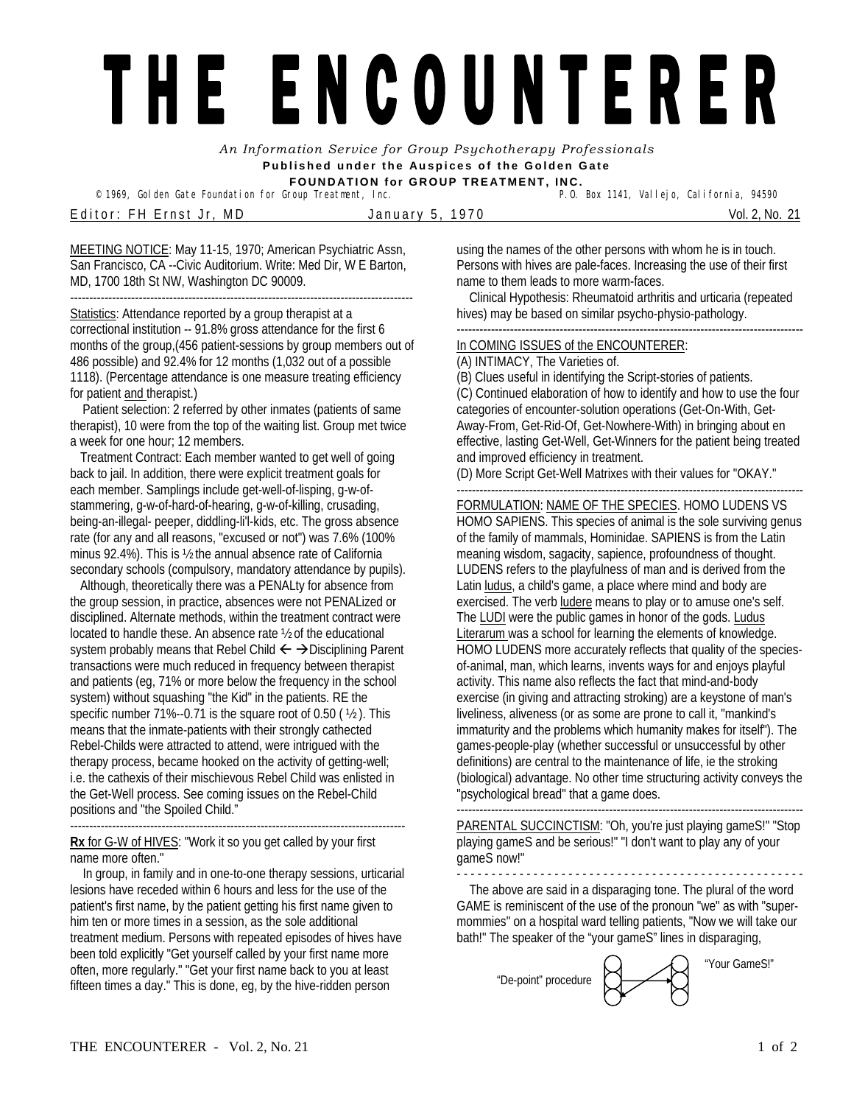## THE ENCOUNTERER

*An Information Service for Group Psychotherapy Professionals*  **Published under the Auspices of the Golden Gate FOUNDATION for GROUP TREATMENT, INC.** 

© 1969, Golden Gate Foundation for Group Treatment, Inc.

Editor: FH Ernst Jr, MD January 5, 1970 Vol. 2, No. 21

MEETING NOTICE: May 11-15, 1970; American Psychiatric Assn, San Francisco, CA --Civic Auditorium. Write: Med Dir, W E Barton, MD, 1700 18th St NW, Washington DC 90009. ------------------------------------------------------------------------------------------

Statistics: Attendance reported by a group therapist at a correctional institution -- 91.8% gross attendance for the first 6 months of the group,(456 patient-sessions by group members out of 486 possible) and 92.4% for 12 months (1,032 out of a possible 1118). (Percentage attendance is one measure treating efficiency for patient and therapist.)

 Patient selection: 2 referred by other inmates (patients of same therapist), 10 were from the top of the waiting list. Group met twice a week for one hour; 12 members.

Treatment Contract: Each member wanted to get well of going back to jail. In addition, there were explicit treatment goals for each member. Samplings include get-well-of-lisping, g-w-ofstammering, g-w-of-hard-of-hearing, g-w-of-killing, crusading, being-an-illegal- peeper, diddling-li'l-kids, etc. The gross absence rate (for any and all reasons, "excused or not") was 7.6% (100% minus 92.4%). This is ½ the annual absence rate of California secondary schools (compulsory, mandatory attendance by pupils).

Although, theoretically there was a PENALty for absence from the group session, in practice, absences were not PENALized or disciplined. Alternate methods, within the treatment contract were located to handle these. An absence rate ½ of the educational system probably means that Rebel Child  $\leftarrow$   $\rightarrow$  Disciplining Parent transactions were much reduced in frequency between therapist and patients (eg, 71% or more below the frequency in the school system) without squashing "the Kid" in the patients. RE the specific number 71%--0.71 is the square root of 0.50 ( ½ ). This means that the inmate-patients with their strongly cathected Rebel-Childs were attracted to attend, were intrigued with the therapy process, became hooked on the activity of getting-well; i.e. the cathexis of their mischievous Rebel Child was enlisted in the Get-Well process. See coming issues on the Rebel-Child positions and "the Spoiled Child."

---------------------------------------------------------------------------------------- **Rx** for G-W of HIVES: "Work it so you get called by your first name more often."

 In group, in family and in one-to-one therapy sessions, urticarial lesions have receded within 6 hours and less for the use of the patient's first name, by the patient getting his first name given to him ten or more times in a session, as the sole additional treatment medium. Persons with repeated episodes of hives have been told explicitly "Get yourself called by your first name more often, more regularly." "Get your first name back to you at least fifteen times a day." This is done, eg, by the hive-ridden person

using the names of the other persons with whom he is in touch. Persons with hives are pale-faces. Increasing the use of their first name to them leads to more warm-faces.

 Clinical Hypothesis: Rheumatoid arthritis and urticaria (repeated hives) may be based on similar psycho-physio-pathology.

------------------------------------------------------------------------------------------- In COMING ISSUES of the ENCOUNTERER:

(A) INTIMACY, The Varieties of.

(B) Clues useful in identifying the Script-stories of patients. (C) Continued elaboration of how to identify and how to use the four categories of encounter-solution operations (Get-On-With, Get-Away-From, Get-Rid-Of, Get-Nowhere-With) in bringing about en effective, lasting Get-Well, Get-Winners for the patient being treated and improved efficiency in treatment.

(D) More Script Get-Well Matrixes with their values for "OKAY."

## ------------------------------------------------------------------------------------------- FORMULATION: NAME OF THE SPECIES. HOMO LUDENS VS

HOMO SAPIENS. This species of animal is the sole surviving genus of the family of mammals, Hominidae. SAPIENS is from the Latin meaning wisdom, sagacity, sapience, profoundness of thought. LUDENS refers to the playfulness of man and is derived from the Latin ludus, a child's game, a place where mind and body are exercised. The verb ludere means to play or to amuse one's self. The LUDI were the public games in honor of the gods. Ludus Literarum was a school for learning the elements of knowledge. HOMO LUDENS more accurately reflects that quality of the speciesof-animal, man, which learns, invents ways for and enjoys playful activity. This name also reflects the fact that mind-and-body exercise (in giving and attracting stroking) are a keystone of man's liveliness, aliveness (or as some are prone to call it, "mankind's immaturity and the problems which humanity makes for itself"). The games-people-play (whether successful or unsuccessful by other definitions) are central to the maintenance of life, ie the stroking (biological) advantage. No other time structuring activity conveys the "psychological bread" that a game does.

------------------------------------------------------------------------------------------- PARENTAL SUCCINCTISM: "Oh, you're just playing gameS!" "Stop playing gameS and be serious!" "I don't want to play any of your gameS now!"

- - - - - - - - - - - - - - - - - - - - - - - - - - - - - - - - - - - - - - - - - - - - - - - - - - The above are said in a disparaging tone. The plural of the word GAME is reminiscent of the use of the pronoun "we" as with "supermommies" on a hospital ward telling patients, "Now we will take our bath!" The speaker of the "your gameS" lines in disparaging,

"De-point" procedure

"Your GameS!"